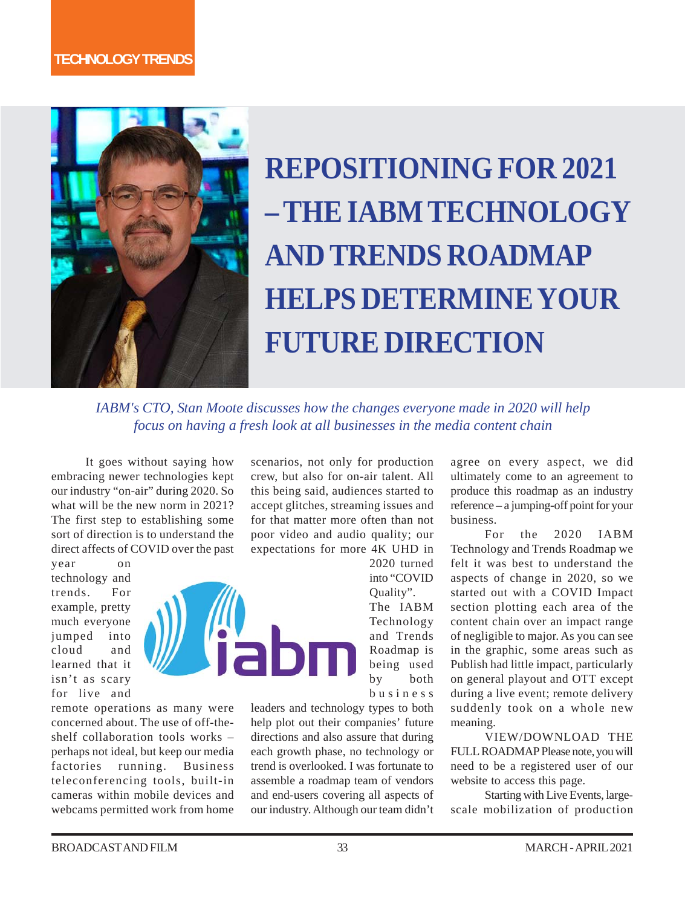

# **REPOSITIONING FOR 2021 – THE IABM TECHNOLOGY AND TRENDS ROADMAP HELPS DETERMINE YOUR FUTURE DIRECTION**

*IABM's CTO, Stan Moote discusses how the changes everyone made in 2020 will help focus on having a fresh look at all businesses in the media content chain*

It goes without saying how embracing newer technologies kept our industry "on-air" during 2020. So what will be the new norm in 2021? The first step to establishing some sort of direction is to understand the direct affects of COVID over the past

year on technology and trends. For example, pretty much everyone jumped into cloud and learned that it isn't as scary for live and

remote operations as many were concerned about. The use of off-theshelf collaboration tools works – perhaps not ideal, but keep our media factories running. Business teleconferencing tools, built-in cameras within mobile devices and webcams permitted work from home scenarios, not only for production crew, but also for on-air talent. All this being said, audiences started to accept glitches, streaming issues and for that matter more often than not poor video and audio quality; our expectations for more 4K UHD in

2020 turned into "COVID Quality". The IABM Technology and Trends Roadmap is being used by both business

leaders and technology types to both help plot out their companies' future directions and also assure that during each growth phase, no technology or trend is overlooked. I was fortunate to assemble a roadmap team of vendors and end-users covering all aspects of our industry. Although our team didn't agree on every aspect, we did ultimately come to an agreement to produce this roadmap as an industry reference – a jumping-off point for your business.

For the 2020 IABM Technology and Trends Roadmap we felt it was best to understand the aspects of change in 2020, so we started out with a COVID Impact section plotting each area of the content chain over an impact range of negligible to major. As you can see in the graphic, some areas such as Publish had little impact, particularly on general playout and OTT except during a live event; remote delivery suddenly took on a whole new meaning.

VIEW/DOWNLOAD THE FULL ROADMAP Please note, you will need to be a registered user of our website to access this page.

Starting with Live Events, largescale mobilization of production

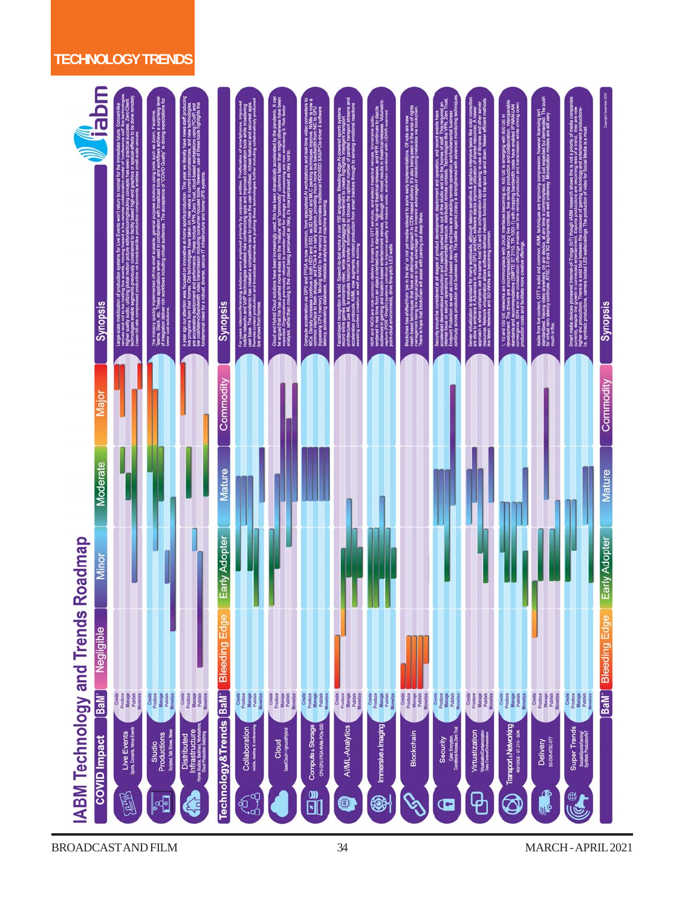## **TECHNOLOGY TRENDS**

| mqe <mark>i,</mark><br><b>Synopsis</b>                                  |                                                                                                      | The Industry<br>Teams, Slack<br>of Integration                                                           | e han ag<br>Sod ave<br>Se and y                                                                                                     | <b>Synopsis</b>       |                                                         | Cloud and Hy<br>Mangued the<br>Mangued On                                         |                                                  |                                                          |                                                               |                                                                  |                                                                                            |                                                                                       |                                                                  | permanent The<br>ywhere, on any device,<br>as ATSC 3.0 and 5G d<br>Aside from live o<br>standardized. He<br>for virtual zero la<br>much in flux. | ĬŖ                                                                                     | <b>Synopsis</b>              |
|-------------------------------------------------------------------------|------------------------------------------------------------------------------------------------------|----------------------------------------------------------------------------------------------------------|-------------------------------------------------------------------------------------------------------------------------------------|-----------------------|---------------------------------------------------------|-----------------------------------------------------------------------------------|--------------------------------------------------|----------------------------------------------------------|---------------------------------------------------------------|------------------------------------------------------------------|--------------------------------------------------------------------------------------------|---------------------------------------------------------------------------------------|------------------------------------------------------------------|--------------------------------------------------------------------------------------------------------------------------------------------------|----------------------------------------------------------------------------------------|------------------------------|
| <b>Talor</b>                                                            |                                                                                                      |                                                                                                          |                                                                                                                                     | Commodity             |                                                         |                                                                                   |                                                  |                                                          |                                                               |                                                                  |                                                                                            |                                                                                       |                                                                  |                                                                                                                                                  |                                                                                        | Commodity                    |
| Moderate                                                                |                                                                                                      |                                                                                                          |                                                                                                                                     | <b>Mature</b>         |                                                         |                                                                                   |                                                  |                                                          |                                                               |                                                                  |                                                                                            |                                                                                       |                                                                  |                                                                                                                                                  |                                                                                        | <b>Mature</b>                |
| Minor                                                                   |                                                                                                      |                                                                                                          |                                                                                                                                     | Early Adopter         |                                                         |                                                                                   |                                                  |                                                          |                                                               |                                                                  |                                                                                            |                                                                                       |                                                                  |                                                                                                                                                  |                                                                                        | Early Adopter                |
| Negligible                                                              |                                                                                                      |                                                                                                          |                                                                                                                                     | <b>Bleeding E</b>     |                                                         |                                                                                   |                                                  |                                                          |                                                               |                                                                  |                                                                                            |                                                                                       |                                                                  |                                                                                                                                                  |                                                                                        | BaM <sup>-</sup> Bleeding Ed |
| <b>IABM Technology and Trends Roadmap</b><br>BaM<br><b>COVID</b> Impact | Create<br>Produce<br>Manage<br>Publish<br><b>Monetize</b><br>Live Events<br>Spon, Corons, Wou Events | Create<br>Produce<br>Manage<br>Publish<br>Moostize<br>Studio<br>Productions<br>Scripted, Talk Shows, New | Create<br>Produce<br>Manage<br>Publish<br>Monetize<br>Distributed<br>Infrastructure<br>Innesta Battut Watsson<br>CoalPhadon Setting | Technology&Trends BaM | Create<br>Produce<br>Manage<br>Publish<br>Collaboration | Create<br>Produce<br>Manage<br>Publish<br>Mosefize<br>Cloud<br>Nascade-grandhybti | Produce<br>Manage<br>Create<br>Compute & Storage | Create<br>Produce<br>Manage<br>Publish<br>AIML-Analytics | Create<br>Produce<br>Manage<br>Publish<br>Immersive & Imaging | Create<br>Produce<br>Monetin<br>Publish<br>Monetin<br>Blockchain | Create<br>Produce<br>Manage<br>Publish<br>Security<br>Color Engrison<br>Confinent Zen Trat | Create<br>Produce<br>Manage<br>Publish<br>Moordize<br>Virtualization<br>wastercommute | Create<br>Produce<br>Manage<br>Publish<br>Transport & Networking | Create<br>Produce<br><b>Manage</b><br>Publish<br><b>Delivery</b><br>seesscott                                                                    | Create<br>Produce<br>Manage<br>Publish<br>Super Trends<br>Sususcenciary<br>Symechonomy |                              |
|                                                                         | 鳳                                                                                                    | F                                                                                                        | 4                                                                                                                                   |                       | ෯                                                       |                                                                                   | ů                                                | Q)                                                       | $\circledast$                                                 | B                                                                | G                                                                                          | ჶ                                                                                     | $\bigcircledS$                                                   | ጭ<br>⊪°                                                                                                                                          | E                                                                                      |                              |

BROADCAST AND FILM 34 MARCH - APRIL 2021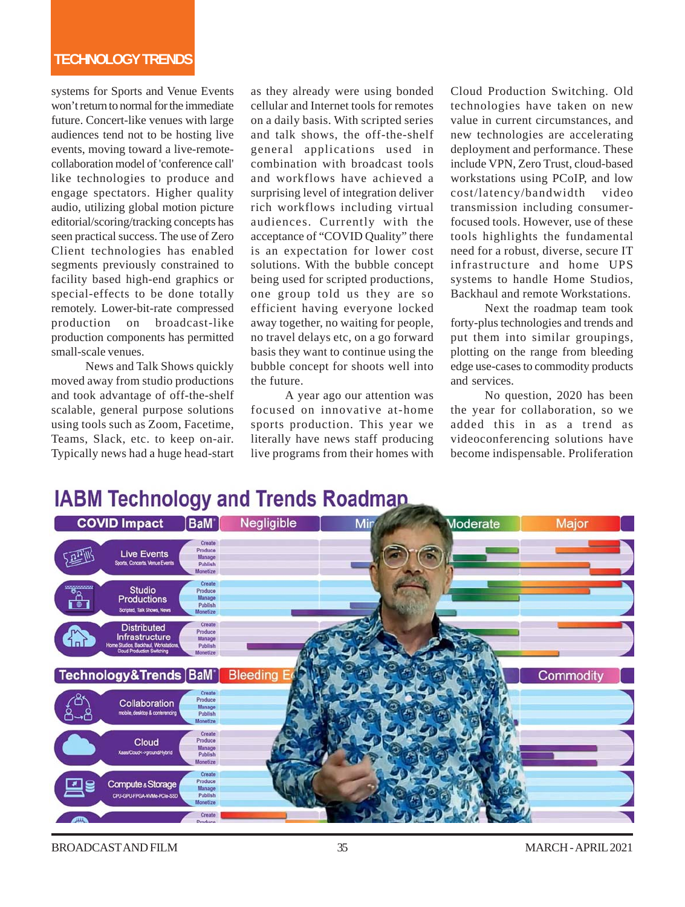systems for Sports and Venue Events won't return to normal for the immediate future. Concert-like venues with large audiences tend not to be hosting live events, moving toward a live-remotecollaboration model of 'conference call' like technologies to produce and engage spectators. Higher quality audio, utilizing global motion picture editorial/scoring/tracking concepts has seen practical success. The use of Zero Client technologies has enabled segments previously constrained to facility based high-end graphics or special-effects to be done totally remotely. Lower-bit-rate compressed production on broadcast-like production components has permitted small-scale venues.

News and Talk Shows quickly moved away from studio productions and took advantage of off-the-shelf scalable, general purpose solutions using tools such as Zoom, Facetime, Teams, Slack, etc. to keep on-air. Typically news had a huge head-start as they already were using bonded cellular and Internet tools for remotes on a daily basis. With scripted series and talk shows, the off-the-shelf general applications used in combination with broadcast tools and workflows have achieved a surprising level of integration deliver rich workflows including virtual audiences. Currently with the acceptance of "COVID Quality" there is an expectation for lower cost solutions. With the bubble concept being used for scripted productions, one group told us they are so efficient having everyone locked away together, no waiting for people, no travel delays etc, on a go forward basis they want to continue using the bubble concept for shoots well into the future.

A year ago our attention was focused on innovative at-home sports production. This year we literally have news staff producing live programs from their homes with Cloud Production Switching. Old technologies have taken on new value in current circumstances, and new technologies are accelerating deployment and performance. These include VPN, Zero Trust, cloud-based workstations using PCoIP, and low cost/latency/bandwidth video transmission including consumerfocused tools. However, use of these tools highlights the fundamental need for a robust, diverse, secure IT infrastructure and home UPS systems to handle Home Studios, Backhaul and remote Workstations.

Next the roadmap team took forty-plus technologies and trends and put them into similar groupings, plotting on the range from bleeding edge use-cases to commodity products and services.

No question, 2020 has been the year for collaboration, so we added this in as a trend as videoconferencing solutions have become indispensable. Proliferation

# **IABM Technology and Trends Roadmap**



BROADCAST AND FILM  $\begin{array}{ccc} 35 & 35 \end{array}$  MARCH - APRIL 2021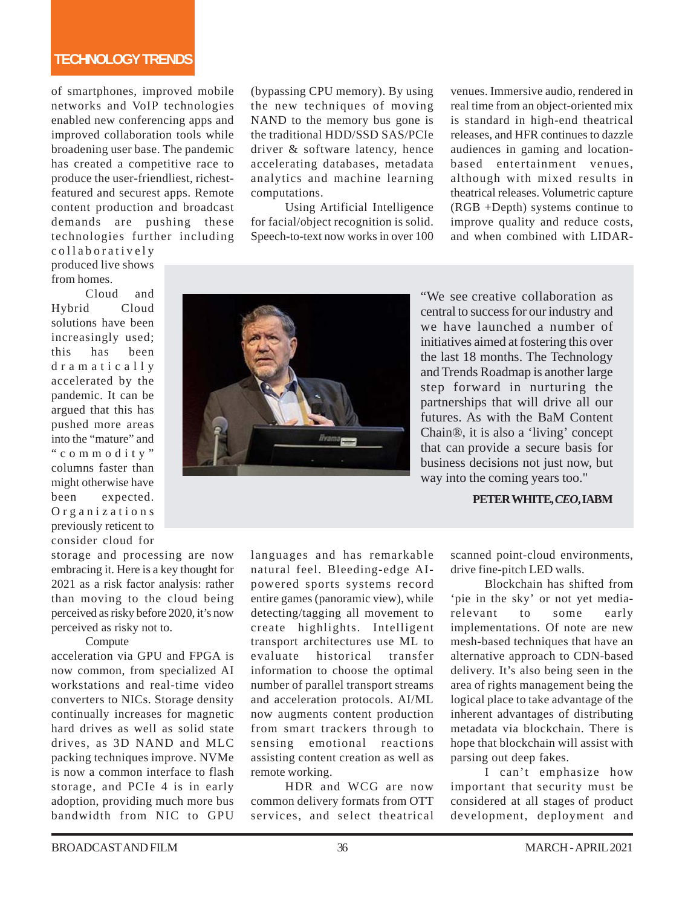## **TECHNOLOGY TRENDS**

of smartphones, improved mobile networks and VoIP technologies enabled new conferencing apps and improved collaboration tools while broadening user base. The pandemic has created a competitive race to produce the user-friendliest, richestfeatured and securest apps. Remote content production and broadcast demands are pushing these technologies further including

collaboratively produced live shows from homes.

Cloud and Hybrid Cloud solutions have been increasingly used; this has been dramatically accelerated by the pandemic. It can be argued that this has pushed more areas into the "mature" and "commodity" columns faster than might otherwise have<br>been expected expected. Organizations previously reticent to consider cloud for

storage and processing are now embracing it. Here is a key thought for 2021 as a risk factor analysis: rather than moving to the cloud being perceived as risky before 2020, it's now perceived as risky not to.

#### Compute

acceleration via GPU and FPGA is now common, from specialized AI workstations and real-time video converters to NICs. Storage density continually increases for magnetic hard drives as well as solid state drives, as 3D NAND and MLC packing techniques improve. NVMe is now a common interface to flash storage, and PCIe 4 is in early adoption, providing much more bus bandwidth from NIC to GPU

(bypassing CPU memory). By using the new techniques of moving NAND to the memory bus gone is the traditional HDD/SSD SAS/PCIe driver & software latency, hence accelerating databases, metadata analytics and machine learning computations.

Using Artificial Intelligence for facial/object recognition is solid. Speech-to-text now works in over 100



venues. Immersive audio, rendered in real time from an object-oriented mix is standard in high-end theatrical releases, and HFR continues to dazzle audiences in gaming and locationbased entertainment venues, although with mixed results in theatrical releases. Volumetric capture (RGB +Depth) systems continue to improve quality and reduce costs, and when combined with LIDAR-

"We see creative collaboration as central to success for our industry and we have launched a number of initiatives aimed at fostering this over the last 18 months. The Technology and Trends Roadmap is another large step forward in nurturing the partnerships that will drive all our futures. As with the BaM Content Chain®, it is also a 'living' concept that can provide a secure basis for business decisions not just now, but way into the coming years too."

#### **PETER WHITE,** *CEO***, IABM**

languages and has remarkable natural feel. Bleeding-edge AIpowered sports systems record entire games (panoramic view), while detecting/tagging all movement to create highlights. Intelligent transport architectures use ML to evaluate historical transfer information to choose the optimal number of parallel transport streams and acceleration protocols. AI/ML now augments content production from smart trackers through to sensing emotional reactions assisting content creation as well as remote working.

HDR and WCG are now common delivery formats from OTT services, and select theatrical scanned point-cloud environments, drive fine-pitch LED walls.

Blockchain has shifted from 'pie in the sky' or not yet mediarelevant to some early implementations. Of note are new mesh-based techniques that have an alternative approach to CDN-based delivery. It's also being seen in the area of rights management being the logical place to take advantage of the inherent advantages of distributing metadata via blockchain. There is hope that blockchain will assist with parsing out deep fakes.

I can't emphasize how important that security must be considered at all stages of product development, deployment and